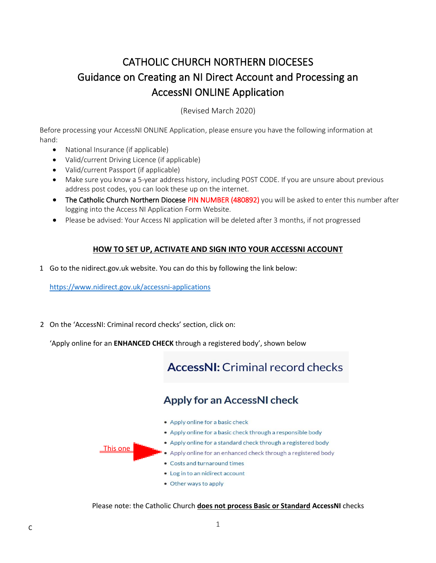# CATHOLIC CHURCH NORTHERN DIOCESES Guidance on Creating an NI Direct Account and Processing an AccessNI ONLINE Application

(Revised March 2020)

Before processing your AccessNI ONLINE Application, please ensure you have the following information at hand:

- National Insurance (if applicable)
- Valid/current Driving Licence (if applicable)
- Valid/current Passport (if applicable)
- Make sure you know a 5-year address history, including POST CODE. If you are unsure about previous address post codes, you can look these up on the internet.
- The Catholic Church Northern Diocese PIN NUMBER (480892) you will be asked to enter this number after logging into the Access NI Application Form Website.
- Please be advised: Your Access NI application will be deleted after 3 months, if not progressed

### **HOW TO SET UP, ACTIVATE AND SIGN INTO YOUR ACCESSNI ACCOUNT**

1 Go to the nidirect.gov.uk website. You can do this by following the link below:

[https://www.nidirect.gov.uk/](https://www.nidirect.gov.uk/information-and-services/accessni-criminal-record-checks/apply-accessni-check)accessni-applications

2 On the 'AccessNI: Criminal record checks' section, click on:

'Apply online for an **ENHANCED CHECK** through a registered body', shown below

# **AccessNI:** Criminal record checks

## **Apply for an AccessNI check**

• Apply online for a basic check . Apply online for a basic check through a responsible body . Apply online for a standard check through a registered body This one • Apply online for an enhanced check through a registered body • Costs and turnaround times . Log in to an nidirect account • Other ways to apply

Please note: the Catholic Church **does not process Basic or Standard AccessNI** checks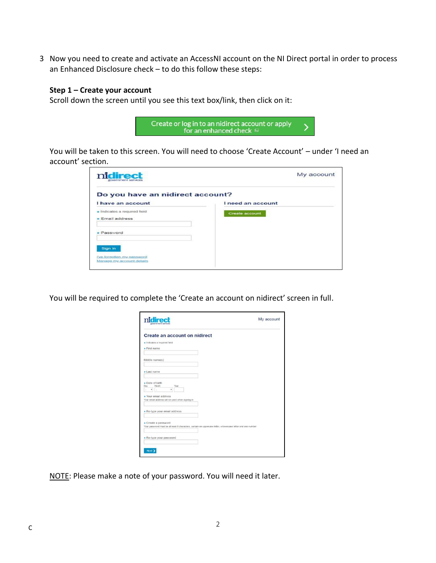3 Now you need to create and activate an AccessNI account on the NI Direct portal in order to process an Enhanced Disclosure check – to do this follow these steps:

#### **Step 1 – Create your account**

Scroll down the screen until you see this text box/link, then click on it:



You will be taken to this screen. You will need to choose 'Create Account' – under 'I need an account' section.

| nidirect<br>government services  | My account        |  |  |
|----------------------------------|-------------------|--|--|
| Do you have an nidirect account? |                   |  |  |
| I have an account                | I need an account |  |  |
| * Indicates a required field     | Create account    |  |  |
| $\star$ Email address            |                   |  |  |
| Password                         |                   |  |  |
|                                  |                   |  |  |
| Sign in                          |                   |  |  |
| I've forgotten my password       |                   |  |  |
| Manage my account details        |                   |  |  |

You will be required to complete the 'Create an account on nidirect' screen in full.

| sovernment services                                                                                                                | My account |
|------------------------------------------------------------------------------------------------------------------------------------|------------|
| <b>Create an account on nidirect</b>                                                                                               |            |
| h Indicates a required field                                                                                                       |            |
| · First name                                                                                                                       |            |
| Middle name(s)                                                                                                                     |            |
| $\star$ Last name                                                                                                                  |            |
| • Date of birth<br>Month<br>Day.<br>Year<br>٠<br>÷<br>* Your email address                                                         |            |
| Your email address will be used when signing in                                                                                    |            |
| * Re-type your email address                                                                                                       |            |
| * Create a password<br>Your password must be at least 8 characters, contain an uppercase letter, a lowercase letter and one number |            |
| * Re-type your password                                                                                                            |            |
|                                                                                                                                    |            |
| Next 3                                                                                                                             |            |

NOTE: Please make a note of your password. You will need it later.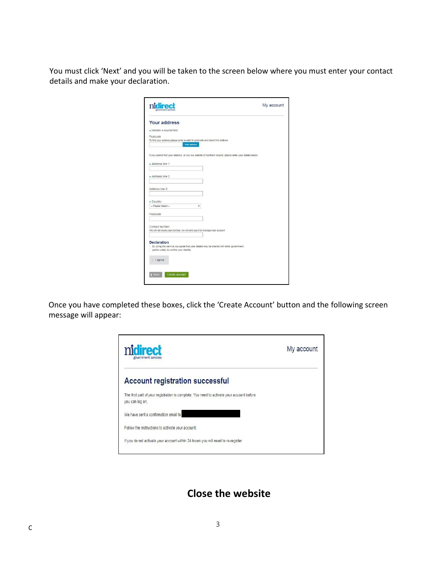You must click 'Next' and you will be taken to the screen below where you must enter your contact details and make your declaration.

| nidire<br>government services                                                                               | My account |
|-------------------------------------------------------------------------------------------------------------|------------|
| <b>Your address</b>                                                                                         |            |
| $\star$ Indicates a required field                                                                          |            |
| Postcode                                                                                                    |            |
| To find your address please enter a valid NI postcode and select find address<br><b>Find address</b>        |            |
| If you cannot find your address, or you live outside of Northern Ireland, please enter your details below.  |            |
| * Address line 1                                                                                            |            |
|                                                                                                             |            |
| * Address line 2                                                                                            |            |
|                                                                                                             |            |
| Address line 3                                                                                              |            |
|                                                                                                             |            |
| * Country<br>-- Please Select --<br>۰                                                                       |            |
| Postcode                                                                                                    |            |
|                                                                                                             |            |
| Contact number                                                                                              |            |
| We will not share your number, we will only use it to manage your account                                   |            |
|                                                                                                             |            |
| <b>Declaration</b><br>By using this service you agree that your details may be shared with other government |            |
| parties solely to confirm your identity.                                                                    |            |
|                                                                                                             |            |
| I agree                                                                                                     |            |
|                                                                                                             |            |
| <b>C</b> Back<br>Create account                                                                             |            |

Once you have completed these boxes, click the 'Create Account' button and the following screen message will appear:



## **Close the website**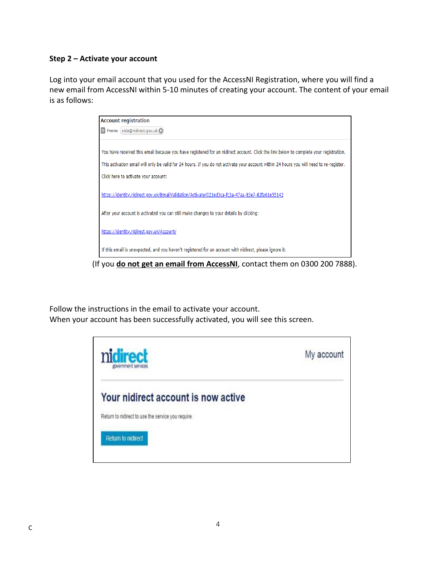### **Step 2 – Activate your account**

Log into your email account that you used for the AccessNI Registration, where you will find a new email from AccessNI within 5-10 minutes of creating your account. The content of your email is as follows:

| <b>Account registration</b>                                                                                                              |  |  |
|------------------------------------------------------------------------------------------------------------------------------------------|--|--|
| $\ge$ From: (nida@nidirect.gov.uk $\bigcirc$ )                                                                                           |  |  |
|                                                                                                                                          |  |  |
| You have received this email because you have registered for an nidirect account. Click the link below to complete your registration.    |  |  |
| This activation email will only be valid for 24 hours. If you do not activate your account within 24 hours you will need to re-register. |  |  |
| Click here to activate your account:                                                                                                     |  |  |
|                                                                                                                                          |  |  |
| https://identity.nidirect.gov.uk/EmailValidation/Activate/021ed3ca-fc3a-47aa-83e7-82fa61e55142                                           |  |  |
| After your account is activated you can still make changes to your details by clicking:                                                  |  |  |
|                                                                                                                                          |  |  |
| https://identity.nidirect.gov.uk/Account/                                                                                                |  |  |
| If this email is unexpected, and you haven't registered for an account with nidirect, please ignore it.                                  |  |  |
|                                                                                                                                          |  |  |

(If you **do not get an email from AccessNI**, contact them on 0300 200 7888).

Follow the instructions in the email to activate your account. When your account has been successfully activated, you will see this screen.